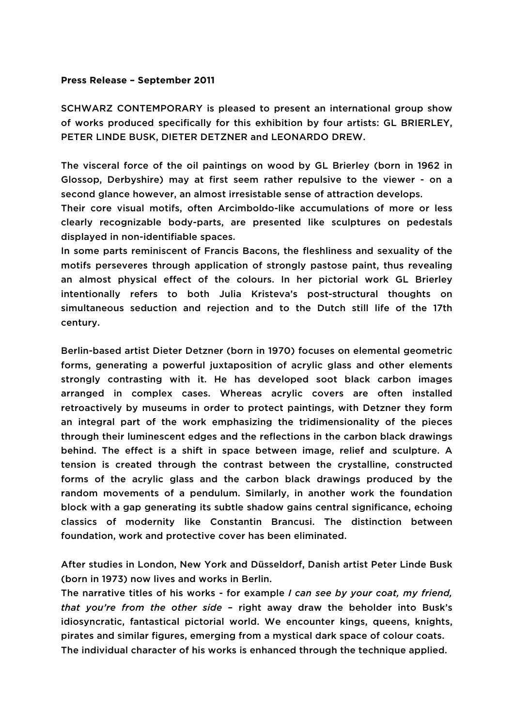## **Press Release – September 2011**

SCHWARZ CONTEMPORARY is pleased to present an international group show of works produced specifically for this exhibition by four artists: GL BRIERLEY, PETER LINDE BUSK, DIETER DETZNER and LEONARDO DREW.

The visceral force of the oil paintings on wood by GL Brierley (born in 1962 in Glossop, Derbyshire) may at first seem rather repulsive to the viewer - on a second glance however, an almost irresistable sense of attraction develops.

Their core visual motifs, often Arcimboldo-like accumulations of more or less clearly recognizable body-parts, are presented like sculptures on pedestals displayed in non-identifiable spaces.

In some parts reminiscent of Francis Bacons, the fleshliness and sexuality of the motifs perseveres through application of strongly pastose paint, thus revealing an almost physical effect of the colours. In her pictorial work GL Brierley intentionally refers to both Julia Kristeva's post-structural thoughts on simultaneous seduction and rejection and to the Dutch still life of the 17th century.

Berlin-based artist Dieter Detzner (born in 1970) focuses on elemental geometric forms, generating a powerful juxtaposition of acrylic glass and other elements strongly contrasting with it. He has developed soot black carbon images arranged in complex cases. Whereas acrylic covers are often installed retroactively by museums in order to protect paintings, with Detzner they form an integral part of the work emphasizing the tridimensionality of the pieces through their luminescent edges and the reflections in the carbon black drawings behind. The effect is a shift in space between image, relief and sculpture. A tension is created through the contrast between the crystalline, constructed forms of the acrylic glass and the carbon black drawings produced by the random movements of a pendulum. Similarly, in another work the foundation block with a gap generating its subtle shadow gains central significance, echoing classics of modernity like Constantin Brancusi. The distinction between foundation, work and protective cover has been eliminated.

After studies in London, New York and Düsseldorf, Danish artist Peter Linde Busk (born in 1973) now lives and works in Berlin.

The narrative titles of his works - for example *I can see by your coat, my friend, that you're from the other side* – right away draw the beholder into Busk's idiosyncratic, fantastical pictorial world. We encounter kings, queens, knights, pirates and similar figures, emerging from a mystical dark space of colour coats. The individual character of his works is enhanced through the technique applied.